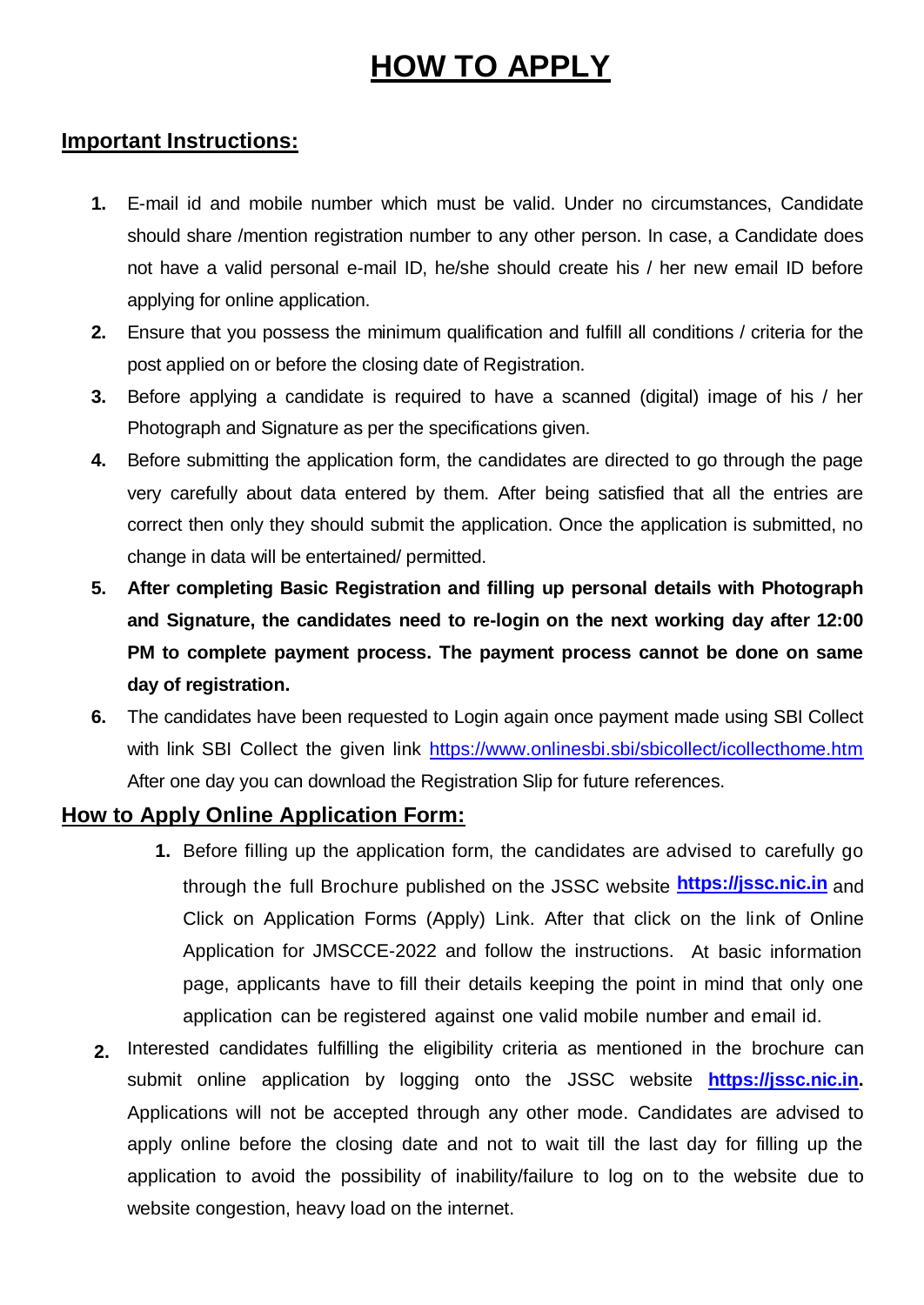# **HOW TO APPLY**

# **Important Instructions:**

- **1.** E-mail id and mobile number which must be valid. Under no circumstances, Candidate should share /mention registration number to any other person. In case, a Candidate does not have a valid personal e-mail ID, he/she should create his / her new email ID before applying for online application.
- **2.** Ensure that you possess the minimum qualification and fulfill all conditions / criteria for the post applied on or before the closing date of Registration.
- **3.** Before applying a candidate is required to have a scanned (digital) image of his / her Photograph and Signature as per the specifications given.
- **4.** Before submitting the application form, the candidates are directed to go through the page very carefully about data entered by them. After being satisfied that all the entries are correct then only they should submit the application. Once the application is submitted, no change in data will be entertained/ permitted.
- **5. After completing Basic Registration and filling up personal details with Photograph and Signature, the candidates need to re-login on the next working day after 12:00 PM to complete payment process. The payment process cannot be done on same day of registration.**
- **6.** The candidates have been requested to Login again once payment made using SBI Collect with link SBI Collect the given link<https://www.onlinesbi.sbi/sbicollect/icollecthome.htm> After one day you can download the Registration Slip for future references.

# **How to Apply Online Application Form:**

- **1.** Before filling up the application form, the candidates are advised to carefully go through the full Brochure published on the JSSC website **[https://jssc.nic.in](https://jssc.nic.in/)** and Click on Application Forms (Apply) Link. After that click on the link of Online Application for JMSCCE-2022 and follow the instructions. At basic information page, applicants have to fill their details keeping the point in mind that only one application can be registered against one valid mobile number and email id.
- **2.** Interested candidates fulfilling the eligibility criteria as mentioned in the brochure can submit online application by logging onto the JSSC website **[https://jssc.nic.in.](https://jssc.nic.in/)** Applications will not be accepted through any other mode. Candidates are advised to apply online before the closing date and not to wait till the last day for filling up the application to avoid the possibility of inability/failure to log on to the website due to website congestion, heavy load on the internet.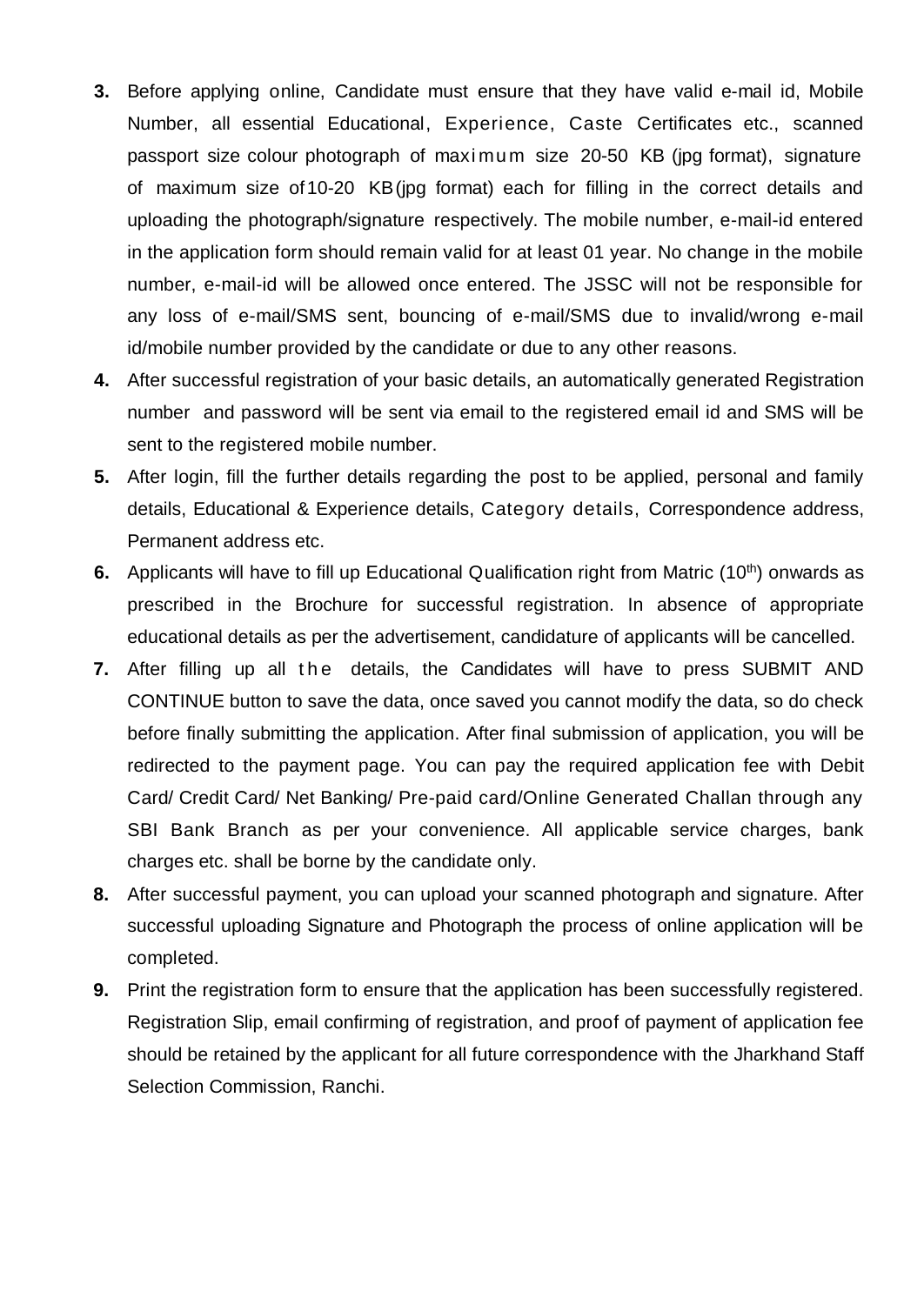- **3.** Before applying online, Candidate must ensure that they have valid e-mail id, Mobile Number, all essential Educational, Experience, Caste Certificates etc., scanned passport size colour photograph of maximum size 20-50 KB (jpg format), signature of maximum size of10-20 KB(jpg format) each for filling in the correct details and uploading the photograph/signature respectively. The mobile number, e-mail-id entered in the application form should remain valid for at least 01 year. No change in the mobile number, e-mail-id will be allowed once entered. The JSSC will not be responsible for any loss of e-mail/SMS sent, bouncing of e-mail/SMS due to invalid/wrong e-mail id/mobile number provided by the candidate or due to any other reasons.
- **4.** After successful registration of your basic details, an automatically generated Registration number and password will be sent via email to the registered email id and SMS will be sent to the registered mobile number.
- **5.** After login, fill the further details regarding the post to be applied, personal and family details, Educational & Experience details, Category details, Correspondence address, Permanent address etc.
- **6.** Applicants will have to fill up Educational Qualification right from Matric (10<sup>th</sup>) onwards as prescribed in the Brochure for successful registration. In absence of appropriate educational details as per the advertisement, candidature of applicants will be cancelled.
- **7.** After filling up all the details, the Candidates will have to press SUBMIT AND CONTINUE button to save the data, once saved you cannot modify the data, so do check before finally submitting the application. After final submission of application, you will be redirected to the payment page. You can pay the required application fee with Debit Card/ Credit Card/ Net Banking/ Pre-paid card/Online Generated Challan through any SBI Bank Branch as per your convenience. All applicable service charges, bank charges etc. shall be borne by the candidate only.
- **8.** After successful payment, you can upload your scanned photograph and signature. After successful uploading Signature and Photograph the process of online application will be completed.
- **9.** Print the registration form to ensure that the application has been successfully registered. Registration Slip, email confirming of registration, and proof of payment of application fee should be retained by the applicant for all future correspondence with the Jharkhand Staff Selection Commission, Ranchi.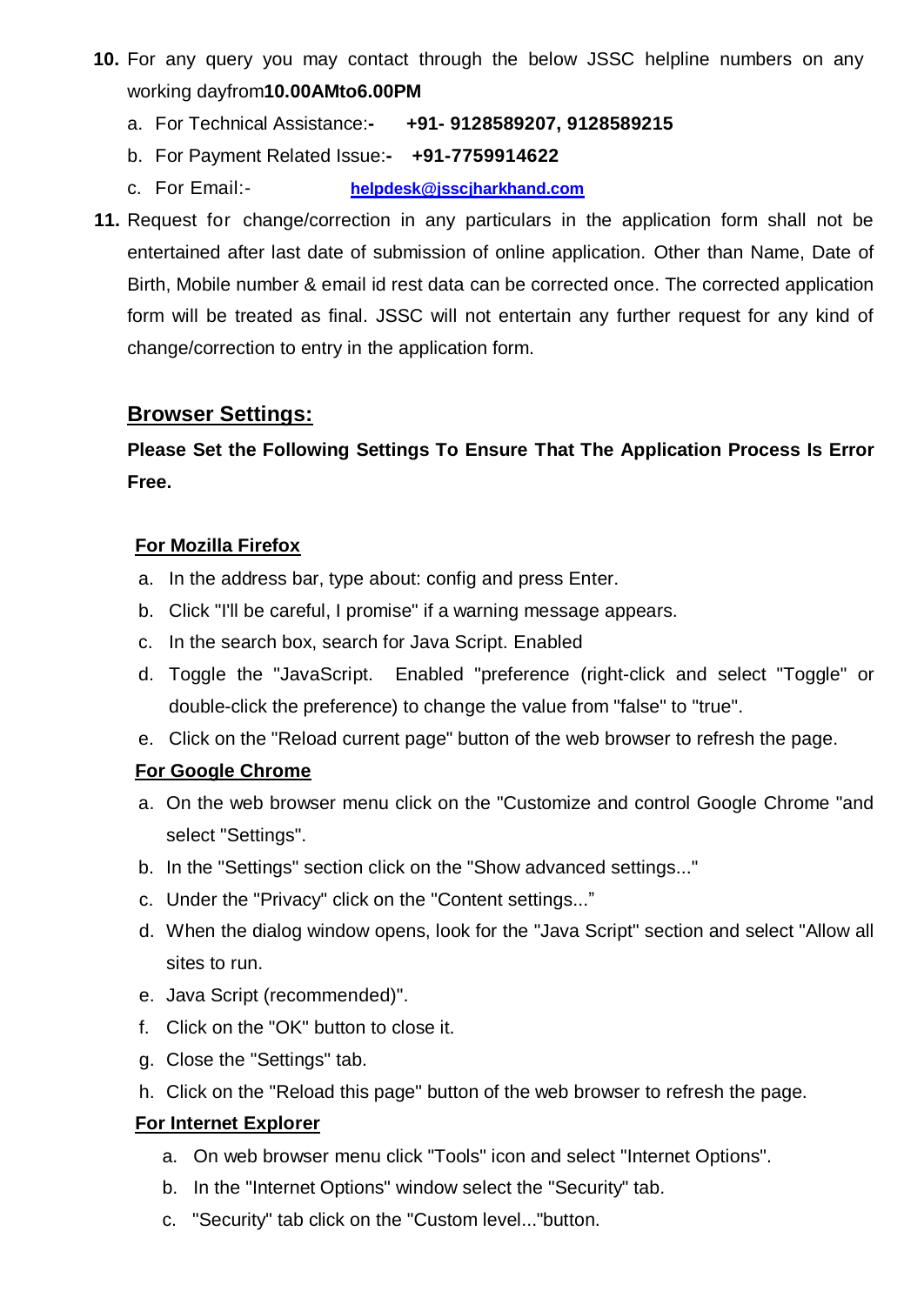- **10.** For any query you may contact through the below JSSC helpline numbers on any working dayfrom**10.00AMto6.00PM**
	- a. For Technical Assistance:**- +91- 9128589207, 9128589215**
	- b. For Payment Related Issue:**- +91-7759914622**
	- c. For Email:- **[helpdesk@jsscjharkhand.com](mailto:helpdesk@jsscjharkhand.com)**
- **11.** Request for change/correction in any particulars in the application form shall not be entertained after last date of submission of online application. Other than Name, Date of Birth, Mobile number & email id rest data can be corrected once. The corrected application form will be treated as final. JSSC will not entertain any further request for any kind of change/correction to entry in the application form.

# **Browser Settings:**

# **Please Set the Following Settings To Ensure That The Application Process Is Error Free.**

### **For Mozilla Firefox**

- a. In the address bar, type about: config and press Enter.
- b. Click "I'll be careful, I promise" if a warning message appears.
- c. In the search box, search for Java Script. Enabled
- d. Toggle the "JavaScript. Enabled "preference (right-click and select "Toggle" or double-click the preference) to change the value from "false" to "true".
- e. Click on the "Reload current page" button of the web browser to refresh the page.

#### **For Google Chrome**

- a. On the web browser menu click on the "Customize and control Google Chrome "and select "Settings".
- b. In the "Settings" section click on the "Show advanced settings..."
- c. Under the "Privacy" click on the "Content settings..."
- d. When the dialog window opens, look for the "Java Script" section and select "Allow all sites to run.
- e. Java Script (recommended)".
- f. Click on the "OK" button to close it.
- g. Close the "Settings" tab.
- h. Click on the "Reload this page" button of the web browser to refresh the page.

# **For Internet Explorer**

- a. On web browser menu click "Tools" icon and select "Internet Options".
- b. In the "Internet Options" window select the "Security" tab.
- c. "Security" tab click on the "Custom level..."button.